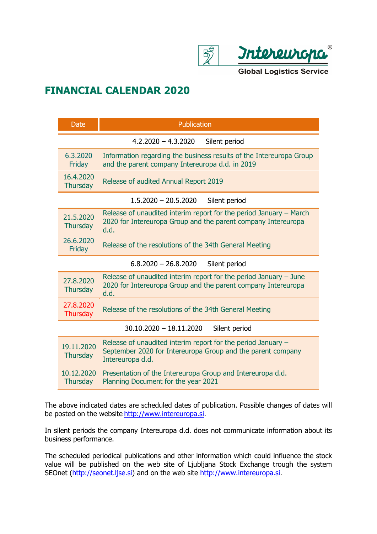

## **FINANCIAL CALENDAR 2020**

| <b>Date</b>                                | Publication                                                                                                                                       |
|--------------------------------------------|---------------------------------------------------------------------------------------------------------------------------------------------------|
|                                            | $4.2.2020 - 4.3.2020$<br>Silent period                                                                                                            |
| 6.3.2020<br>Friday                         | Information regarding the business results of the Intereuropa Group<br>and the parent company Intereuropa d.d. in 2019                            |
| 16.4.2020<br><b>Thursday</b>               | Release of audited Annual Report 2019                                                                                                             |
|                                            | $1.5.2020 - 20.5.2020$<br>Silent period                                                                                                           |
| 21.5.2020<br><b>Thursday</b>               | Release of unaudited interim report for the period January - March<br>2020 for Intereuropa Group and the parent company Intereuropa<br>d.d.       |
| 26.6.2020<br>Friday                        | Release of the resolutions of the 34th General Meeting                                                                                            |
| $6.8.2020 - 26.8.2020$<br>Silent period    |                                                                                                                                                   |
| 27.8.2020<br><b>Thursday</b>               | Release of unaudited interim report for the period January $-$ June<br>2020 for Intereuropa Group and the parent company Intereuropa<br>d.d.      |
| 27.8.2020<br><b>Thursday</b>               | Release of the resolutions of the 34th General Meeting                                                                                            |
| $30.10.2020 - 18.11.2020$<br>Silent period |                                                                                                                                                   |
| 19.11.2020<br><b>Thursday</b>              | Release of unaudited interim report for the period January $-$<br>September 2020 for Intereuropa Group and the parent company<br>Intereuropa d.d. |
| 10.12.2020<br><b>Thursday</b>              | Presentation of the Intereuropa Group and Intereuropa d.d.<br>Planning Document for the year 2021                                                 |

The above indicated dates are scheduled dates of publication. Possible changes of dates will be posted on the website [http://www.intereuropa.si.](http://www.intereuropa.si/)

In silent periods the company Intereuropa d.d. does not communicate information about its business performance.

The scheduled periodical publications and other information which could influence the stock value will be published on the web site of Ljubljana Stock Exchange trough the system SEOnet [\(http://seonet.ljse.si\)](http://seonet.ljse.si/) and on the web site [http://www.intereuropa.si.](http://www.intereuropa.si/)